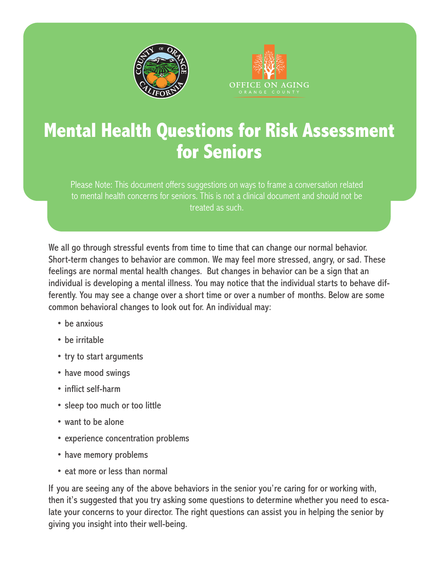



## **Mental Health Questions for Risk Assessment for Seniors**

Please Note: This document offers suggestions on ways to frame a conversation related to mental health concerns for seniors. This is not a clinical document and should not be treated as such.

We all go through stressful events from time to time that can change our normal behavior. Short-term changes to behavior are common. We may feel more stressed, angry, or sad. These feelings are normal mental health changes. But changes in behavior can be a sign that an individual is developing a mental illness. You may notice that the individual starts to behave differently. You may see a change over a short time or over a number of months. Below are some common behavioral changes to look out for. An individual may:

- be anxious
- be irritable
- try to start arguments
- have mood swings
- inflict self-harm
- sleep too much or too little
- want to be alone
- experience concentration problems
- have memory problems
- eat more or less than normal

If you are seeing any of the above behaviors in the senior you're caring for or working with, then it's suggested that you try asking some questions to determine whether you need to escalate your concerns to your director. The right questions can assist you in helping the senior by giving you insight into their well-being.